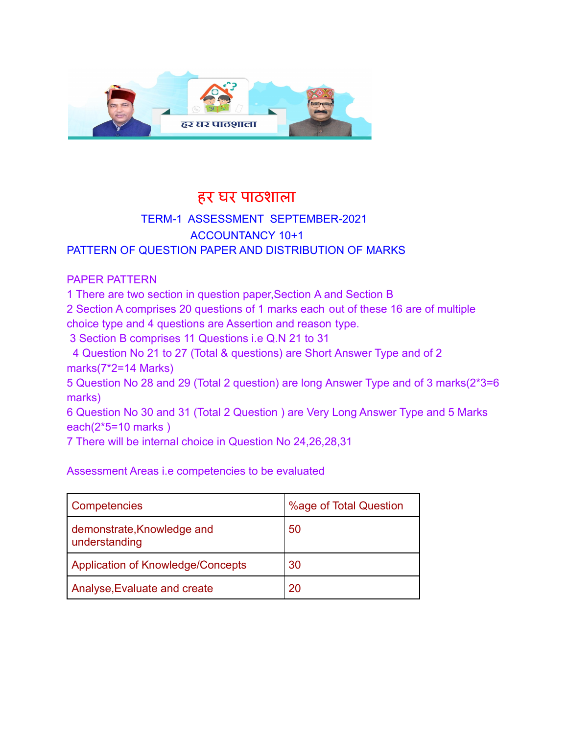

### हर घर पाठशाला

#### TERM-1 ASSESSMENT SEPTEMBER-2021 ACCOUNTANCY 10+1 PATTERN OF QUESTION PAPER AND DISTRIBUTION OF MARKS

#### PAPER PATTERN

1 There are two section in question paper,Section A and Section B

2 Section A comprises 20 questions of 1 marks each out of these 16 are of multiple choice type and 4 questions are Assertion and reason type.

3 Section B comprises 11 Questions i.e Q.N 21 to 31

4 Question No 21 to 27 (Total & questions) are Short Answer Type and of 2 marks(7\*2=14 Marks)

5 Question No 28 and 29 (Total 2 question) are long Answer Type and of 3 marks(2\*3=6 marks)

6 Question No 30 and 31 (Total 2 Question ) are Very Long Answer Type and 5 Marks each(2\*5=10 marks )

7 There will be internal choice in Question No 24,26,28,31

Assessment Areas i.e competencies to be evaluated

| <b>Competencies</b>                         | %age of Total Question |
|---------------------------------------------|------------------------|
| demonstrate, Knowledge and<br>understanding | 50                     |
| Application of Knowledge/Concepts           | 30                     |
| Analyse, Evaluate and create                | 20                     |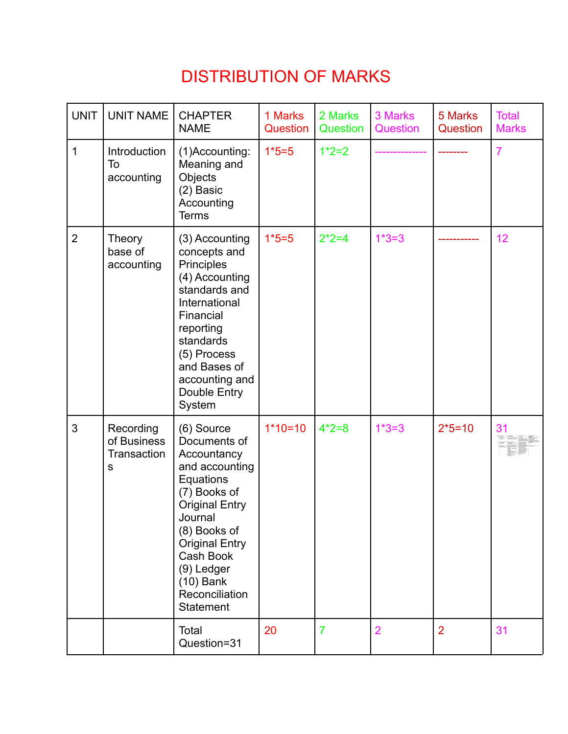# DISTRIBUTION OF MARKS

| <b>UNIT</b>    | <b>UNIT NAME</b>                             | <b>CHAPTER</b><br><b>NAME</b>                                                                                                                                                                                                                         | 1 Marks<br>Question | 2 Marks<br>Question | 3 Marks<br>Question | 5 Marks<br>Question | <b>Total</b><br><b>Marks</b> |
|----------------|----------------------------------------------|-------------------------------------------------------------------------------------------------------------------------------------------------------------------------------------------------------------------------------------------------------|---------------------|---------------------|---------------------|---------------------|------------------------------|
| $\mathbf{1}$   | Introduction<br>To<br>accounting             | (1)Accounting:<br>Meaning and<br>Objects<br>(2) Basic<br>Accounting<br><b>Terms</b>                                                                                                                                                                   | $1*5=5$             | $1*2=2$             |                     |                     | $\overline{7}$               |
| $\overline{2}$ | Theory<br>base of<br>accounting              | (3) Accounting<br>concepts and<br>Principles<br>(4) Accounting<br>standards and<br>International<br>Financial<br>reporting<br>standards<br>(5) Process<br>and Bases of<br>accounting and<br>Double Entry<br>System                                    | $1*5=5$             | $2*2=4$             | $1*3=3$             |                     | 12                           |
| 3              | Recording<br>of Business<br>Transaction<br>S | (6) Source<br>Documents of<br>Accountancy<br>and accounting<br>Equations<br>(7) Books of<br><b>Original Entry</b><br>Journal<br>(8) Books of<br><b>Original Entry</b><br>Cash Book<br>(9) Ledger<br>$(10)$ Bank<br>Reconciliation<br><b>Statement</b> | $1*10=10$           | $4*2=8$             | $1*3=3$             | $2*5=10$            | 31                           |
|                |                                              | Total<br>Question=31                                                                                                                                                                                                                                  | 20                  | $\overline{7}$      | $\overline{2}$      | $\overline{2}$      | 31                           |